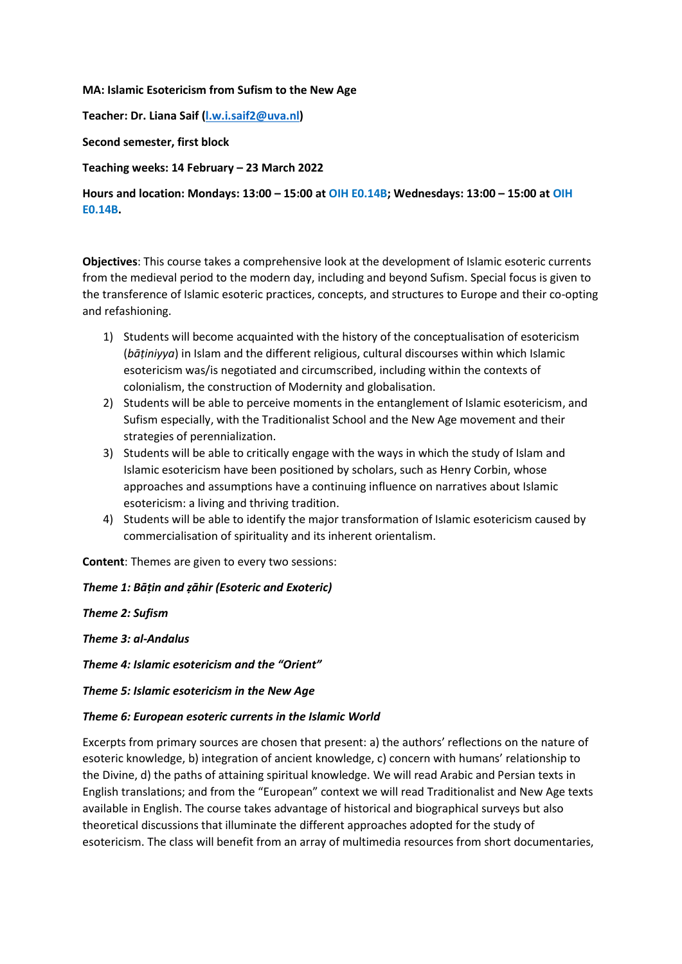#### **MA: Islamic Esotericism from Sufism to the New Age**

**Teacher: Dr. Liana Saif [\(l.w.i.saif2@uva.nl\)](mailto:l.w.i.saif2@uva.nl)**

#### **Second semester, first block**

#### **Teaching weeks: 14 February – 23 March 2022**

# **Hours and location: Mondays: 13:00 – 15:00 at OIH E0.14B; Wednesdays: 13:00 – 15:00 at OIH E0.14B.**

**Objectives**: This course takes a comprehensive look at the development of Islamic esoteric currents from the medieval period to the modern day, including and beyond Sufism. Special focus is given to the transference of Islamic esoteric practices, concepts, and structures to Europe and their co-opting and refashioning.

- 1) Students will become acquainted with the history of the conceptualisation of esotericism (*bāṭiniyya*) in Islam and the different religious, cultural discourses within which Islamic esotericism was/is negotiated and circumscribed, including within the contexts of colonialism, the construction of Modernity and globalisation.
- 2) Students will be able to perceive moments in the entanglement of Islamic esotericism, and Sufism especially, with the Traditionalist School and the New Age movement and their strategies of perennialization.
- 3) Students will be able to critically engage with the ways in which the study of Islam and Islamic esotericism have been positioned by scholars, such as Henry Corbin, whose approaches and assumptions have a continuing influence on narratives about Islamic esotericism: a living and thriving tradition.
- 4) Students will be able to identify the major transformation of Islamic esotericism caused by commercialisation of spirituality and its inherent orientalism.

**Content**: Themes are given to every two sessions:

#### *Theme 1: Bāṭin and ẓāhir (Esoteric and Exoteric)*

*Theme 2: Sufism*

*Theme 3: al-Andalus* 

*Theme 4: Islamic esotericism and the "Orient"*

*Theme 5: Islamic esotericism in the New Age*

#### *Theme 6: European esoteric currents in the Islamic World*

Excerpts from primary sources are chosen that present: a) the authors' reflections on the nature of esoteric knowledge, b) integration of ancient knowledge, c) concern with humans' relationship to the Divine, d) the paths of attaining spiritual knowledge. We will read Arabic and Persian texts in English translations; and from the "European" context we will read Traditionalist and New Age texts available in English. The course takes advantage of historical and biographical surveys but also theoretical discussions that illuminate the different approaches adopted for the study of esotericism. The class will benefit from an array of multimedia resources from short documentaries,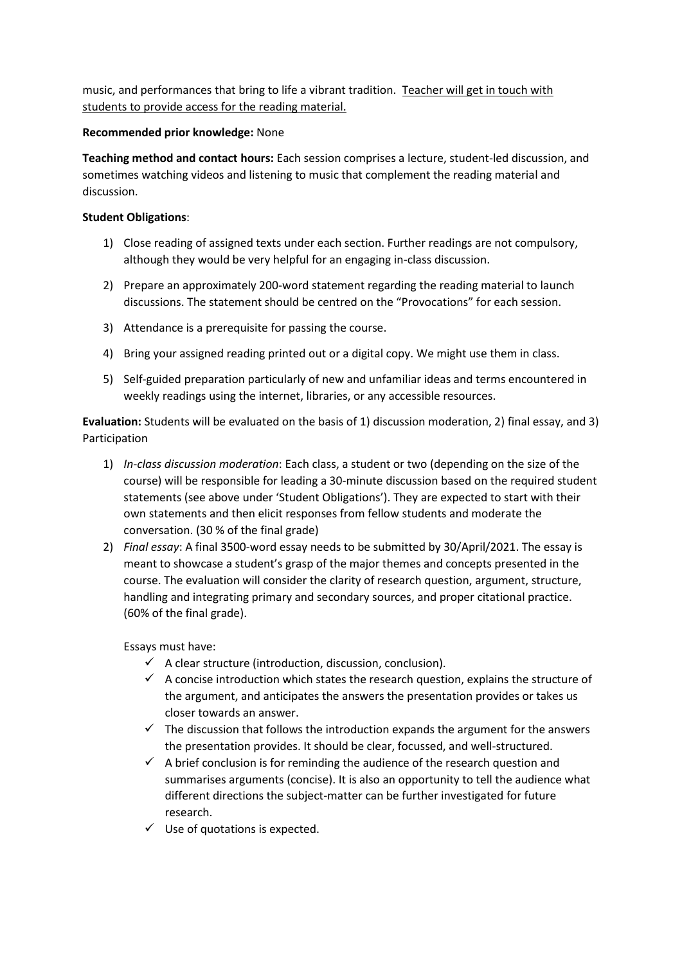music, and performances that bring to life a vibrant tradition. Teacher will get in touch with students to provide access for the reading material.

## **Recommended prior knowledge:** None

**Teaching method and contact hours:** Each session comprises a lecture, student-led discussion, and sometimes watching videos and listening to music that complement the reading material and discussion.

## **Student Obligations**:

- 1) Close reading of assigned texts under each section. Further readings are not compulsory, although they would be very helpful for an engaging in-class discussion.
- 2) Prepare an approximately 200-word statement regarding the reading material to launch discussions. The statement should be centred on the "Provocations" for each session.
- 3) Attendance is a prerequisite for passing the course.
- 4) Bring your assigned reading printed out or a digital copy. We might use them in class.
- 5) Self-guided preparation particularly of new and unfamiliar ideas and terms encountered in weekly readings using the internet, libraries, or any accessible resources.

**Evaluation:** Students will be evaluated on the basis of 1) discussion moderation, 2) final essay, and 3) Participation

- 1) *In-class discussion moderation*: Each class, a student or two (depending on the size of the course) will be responsible for leading a 30-minute discussion based on the required student statements (see above under 'Student Obligations'). They are expected to start with their own statements and then elicit responses from fellow students and moderate the conversation. (30 % of the final grade)
- 2) *Final essay*: A final 3500-word essay needs to be submitted by 30/April/2021. The essay is meant to showcase a student's grasp of the major themes and concepts presented in the course. The evaluation will consider the clarity of research question, argument, structure, handling and integrating primary and secondary sources, and proper citational practice. (60% of the final grade).

Essays must have:

- $\checkmark$  A clear structure (introduction, discussion, conclusion).
- $\checkmark$  A concise introduction which states the research question, explains the structure of the argument, and anticipates the answers the presentation provides or takes us closer towards an answer.
- $\checkmark$  The discussion that follows the introduction expands the argument for the answers the presentation provides. It should be clear, focussed, and well-structured.
- $\checkmark$  A brief conclusion is for reminding the audience of the research question and summarises arguments (concise). It is also an opportunity to tell the audience what different directions the subject-matter can be further investigated for future research.
- $\checkmark$  Use of quotations is expected.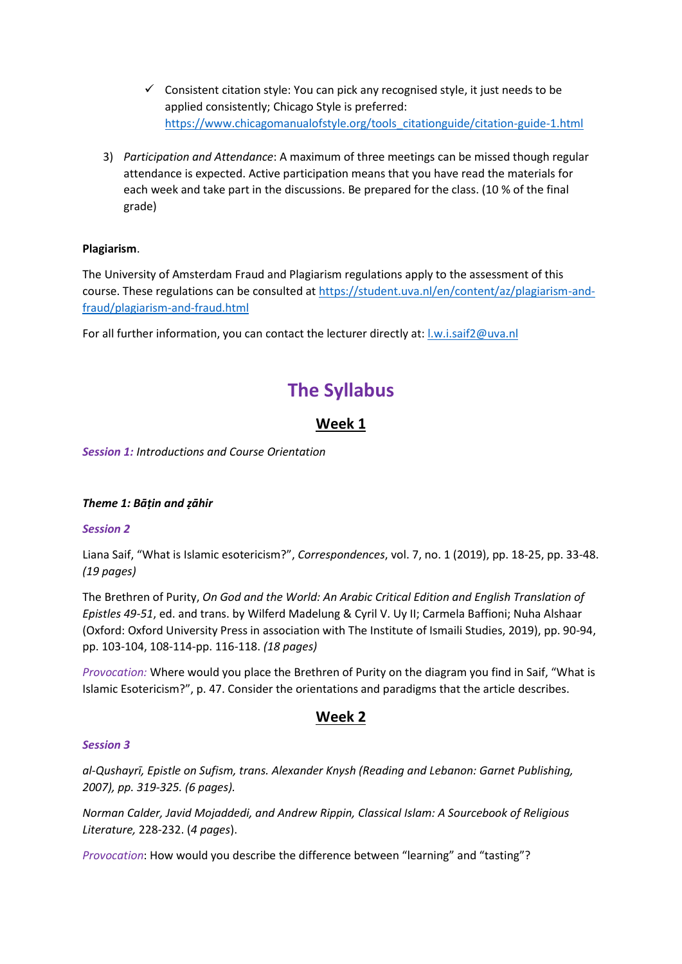- $\checkmark$  Consistent citation style: You can pick any recognised style, it just needs to be applied consistently; Chicago Style is preferred: [https://www.chicagomanualofstyle.org/tools\\_citationguide/citation-guide-1.html](https://www.chicagomanualofstyle.org/tools_citationguide/citation-guide-1.html)
- 3) *Participation and Attendance*: A maximum of three meetings can be missed though regular attendance is expected. Active participation means that you have read the materials for each week and take part in the discussions. Be prepared for the class. (10 % of the final grade)

# **Plagiarism**.

The University of Amsterdam Fraud and Plagiarism regulations apply to the assessment of this course. These regulations can be consulted at [https://student.uva.nl/en/content/az/plagiarism-and](https://student.uva.nl/en/content/az/plagiarism-and-fraud/plagiarism-and-fraud.html)[fraud/plagiarism-and-fraud.html](https://student.uva.nl/en/content/az/plagiarism-and-fraud/plagiarism-and-fraud.html)

For all further information, you can contact the lecturer directly at: [l.w.i.saif2@uva.nl](mailto:l.w.i.saif2@uva.nl)

# **The Syllabus**

# **Week 1**

*Session 1: Introductions and Course Orientation*

# *Theme 1: Bāṭin and ẓāhir*

# *Session 2*

Liana Saif, "What is Islamic esotericism?", *Correspondences*, vol. 7, no. 1 (2019), pp. 18-25, pp. 33-48. *(19 pages)*

The Brethren of Purity, *On God and the World: An Arabic Critical Edition and English Translation of Epistles 49-51*, ed. and trans. by Wilferd Madelung & Cyril V. Uy II; Carmela Baffioni; Nuha Alshaar (Oxford: Oxford University Press in association with The Institute of Ismaili Studies, 2019), pp. 90-94, pp. 103-104, 108-114-pp. 116-118. *(18 pages)*

*Provocation:* Where would you place the Brethren of Purity on the diagram you find in Saif, "What is Islamic Esotericism?", p. 47. Consider the orientations and paradigms that the article describes.

# **Week 2**

#### *Session 3*

*al-Qushayrī, Epistle on Sufism, trans. Alexander Knysh (Reading and Lebanon: Garnet Publishing, 2007), pp. 319-325. (6 pages).*

*Norman Calder, Javid Mojaddedi, and Andrew Rippin, Classical Islam: A Sourcebook of Religious Literature,* 228-232. (*4 pages*).

*Provocation*: How would you describe the difference between "learning" and "tasting"?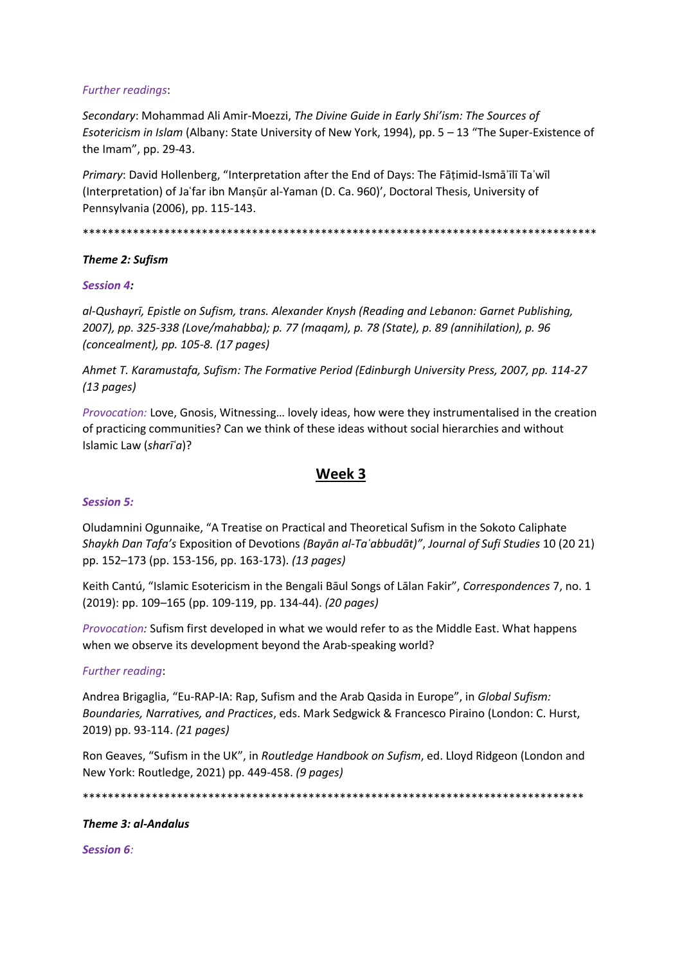#### Further readings:

Secondary: Mohammad Ali Amir-Moezzi, The Divine Guide in Early Shi'ism: The Sources of Esotericism in Islam (Albany: State University of New York, 1994), pp. 5 - 13 "The Super-Existence of the Imam", pp. 29-43.

Primary: David Hollenberg, "Interpretation after the End of Days: The Fāṭimid-Ismā'īlī Ta'wīl (Interpretation) of Ja'far ibn Manşūr al-Yaman (D. Ca. 960)', Doctoral Thesis, University of Pennsylvania (2006), pp. 115-143.

## Theme 2: Sufism

#### **Session 4:**

al-Qushayrī, Epistle on Sufism, trans. Alexander Knysh (Reading and Lebanon: Garnet Publishing, 2007), pp. 325-338 (Love/mahabba); p. 77 (maqam), p. 78 (State), p. 89 (annihilation), p. 96 (concealment), pp. 105-8. (17 pages)

Ahmet T. Karamustafa, Sufism: The Formative Period (Edinburgh University Press, 2007, pp. 114-27  $(13 \text{ pages})$ 

Provocation: Love, Gnosis, Witnessing... lovely ideas, how were they instrumentalised in the creation of practicing communities? Can we think of these ideas without social hierarchies and without Islamic Law (shari'a)?

# Week 3

#### **Session 5:**

Oludamnini Ogunnaike, "A Treatise on Practical and Theoretical Sufism in the Sokoto Caliphate Shaykh Dan Tafa's Exposition of Devotions (Bayan al-Ta'abbudat)", Journal of Sufi Studies 10 (20 21) pp. 152-173 (pp. 153-156, pp. 163-173). (13 pages)

Keith Cantú, "Islamic Esotericism in the Bengali Bāul Songs of Lālan Fakir", Correspondences 7, no. 1 (2019): pp. 109-165 (pp. 109-119, pp. 134-44). (20 pages)

Provocation: Sufism first developed in what we would refer to as the Middle East. What happens when we observe its development beyond the Arab-speaking world?

#### Further reading:

Andrea Brigaglia, "Eu-RAP-IA: Rap, Sufism and the Arab Qasida in Europe", in Global Sufism: Boundaries, Narratives, and Practices, eds. Mark Sedgwick & Francesco Piraino (London: C. Hurst, 2019) pp. 93-114. (21 pages)

Ron Geaves, "Sufism in the UK", in Routledge Handbook on Sufism, ed. Lloyd Ridgeon (London and New York: Routledge, 2021) pp. 449-458. (9 pages)

#### Theme 3: al-Andalus

**Session 6:**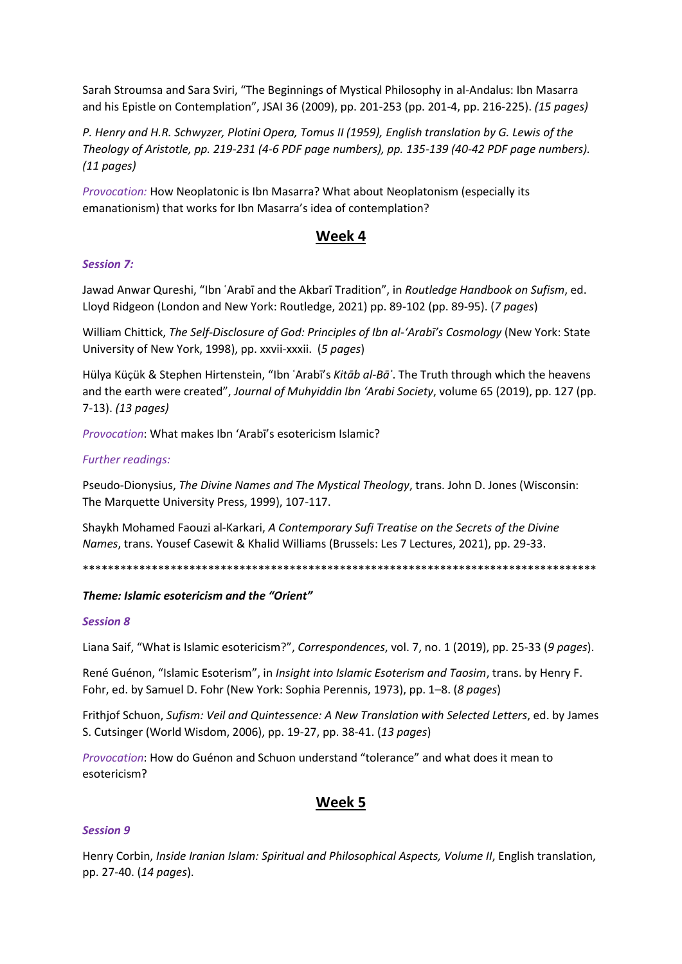Sarah Stroumsa and Sara Sviri, "The Beginnings of Mystical Philosophy in al-Andalus: Ibn Masarra and his Epistle on Contemplation", JSAI 36 (2009), pp. 201-253 (pp. 201-4, pp. 216-225). *(15 pages)*

*P. Henry and H.R. Schwyzer, Plotini Opera, Tomus II (1959), English translation by G. Lewis of the Theology of Aristotle, pp. 219-231 (4-6 PDF page numbers), pp. 135-139 (40-42 PDF page numbers). (11 pages)*

*Provocation:* How Neoplatonic is Ibn Masarra? What about Neoplatonism (especially its emanationism) that works for Ibn Masarra's idea of contemplation?

# **Week 4**

## *Session 7:*

Jawad Anwar Qureshi, "Ibn ʿArabī and the Akbarī Tradition", in *Routledge Handbook on Sufism*, ed. Lloyd Ridgeon (London and New York: Routledge, 2021) pp. 89-102 (pp. 89-95). (*7 pages*)

William Chittick, *The Self-Disclosure of God: Principles of Ibn al-'Arabī's Cosmology* (New York: State University of New York, 1998), pp. xxvii-xxxii. (*5 pages*)

Hülya Küçük & Stephen Hirtenstein, "Ibn ʿArabī's *Kitāb al-Bāʾ*. The Truth through which the heavens and the earth were created", *Journal of Muhyiddin Ibn 'Arabi Society*, volume 65 (2019), pp. 127 (pp. 7-13). *(13 pages)*

*Provocation*: What makes Ibn 'Arabī's esotericism Islamic?

## *Further readings:*

Pseudo-Dionysius, *The Divine Names and The Mystical Theology*, trans. John D. Jones (Wisconsin: The Marquette University Press, 1999), 107-117.

Shaykh Mohamed Faouzi al-Karkari, *A Contemporary Sufi Treatise on the Secrets of the Divine Names*, trans. Yousef Casewit & Khalid Williams (Brussels: Les 7 Lectures, 2021), pp. 29-33.

\*\*\*\*\*\*\*\*\*\*\*\*\*\*\*\*\*\*\*\*\*\*\*\*\*\*\*\*\*\*\*\*\*\*\*\*\*\*\*\*\*\*\*\*\*\*\*\*\*\*\*\*\*\*\*\*\*\*\*\*\*\*\*\*\*\*\*\*\*\*\*\*\*\*\*\*\*\*\*\*\*\*

#### *Theme: Islamic esotericism and the "Orient"*

#### *Session 8*

Liana Saif, "What is Islamic esotericism?", *Correspondences*, vol. 7, no. 1 (2019), pp. 25-33 (*9 pages*).

René Guénon, "Islamic Esoterism", in *Insight into Islamic Esoterism and Taosim*, trans. by Henry F. Fohr, ed. by Samuel D. Fohr (New York: Sophia Perennis, 1973), pp. 1–8. (*8 pages*)

Frithjof Schuon, *Sufism: Veil and Quintessence: A New Translation with Selected Letters*, ed. by James S. Cutsinger (World Wisdom, 2006), pp. 19-27, pp. 38-41. (*13 pages*)

*Provocation*: How do Guénon and Schuon understand "tolerance" and what does it mean to esotericism?

# **Week 5**

# *Session 9*

Henry Corbin, *Inside Iranian Islam: Spiritual and Philosophical Aspects, Volume II*, English translation, pp. 27-40. (*14 pages*).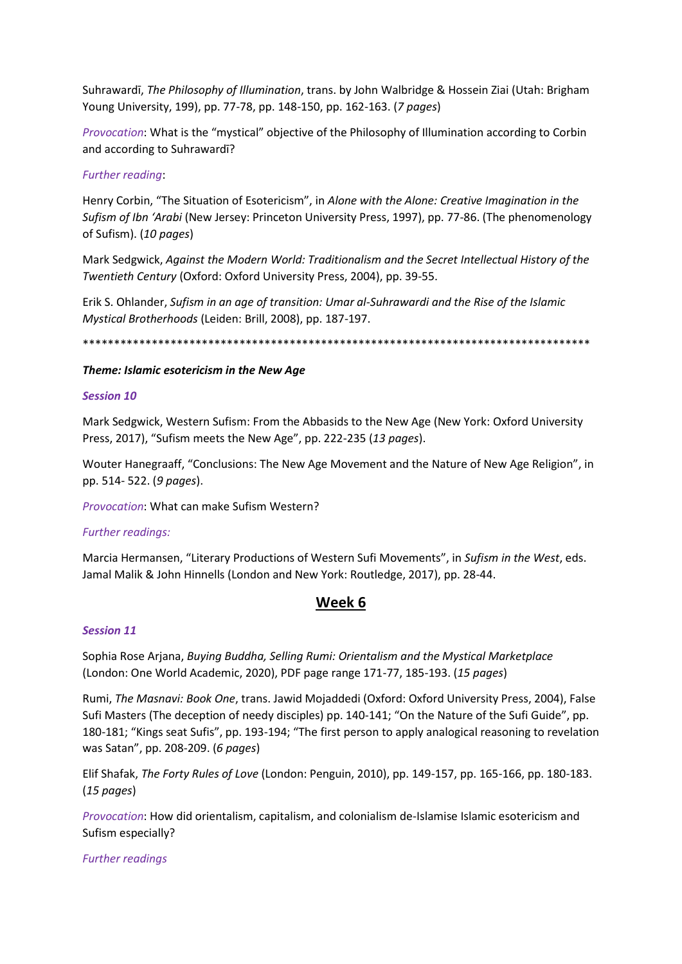Suhrawardi, The Philosophy of Illumination, trans. by John Walbridge & Hossein Ziai (Utah: Brigham Young University, 199), pp. 77-78, pp. 148-150, pp. 162-163. (7 pages)

Provocation: What is the "mystical" objective of the Philosophy of Illumination according to Corbin and according to Suhrawardī?

#### **Further reading:**

Henry Corbin, "The Situation of Esotericism", in Alone with the Alone: Creative Imagination in the Sufism of Ibn 'Arabi (New Jersey: Princeton University Press, 1997), pp. 77-86. (The phenomenology of Sufism). (10 pages)

Mark Sedgwick, Against the Modern World: Traditionalism and the Secret Intellectual History of the Twentieth Century (Oxford: Oxford University Press, 2004), pp. 39-55.

Erik S. Ohlander, Sufism in an age of transition: Umar al-Suhrawardi and the Rise of the Islamic Mystical Brotherhoods (Leiden: Brill, 2008), pp. 187-197.

#### Theme: Islamic esotericism in the New Age

#### **Session 10**

Mark Sedgwick, Western Sufism: From the Abbasids to the New Age (New York: Oxford University Press, 2017), "Sufism meets the New Age", pp. 222-235 (13 pages).

Wouter Hanegraaff, "Conclusions: The New Age Movement and the Nature of New Age Religion", in pp. 514-522. (9 pages).

Provocation: What can make Sufism Western?

#### **Further readings:**

Marcia Hermansen, "Literary Productions of Western Sufi Movements", in Sufism in the West, eds. Jamal Malik & John Hinnells (London and New York: Routledge, 2017), pp. 28-44.

# Week 6

#### **Session 11**

Sophia Rose Arjana, Buying Buddha, Selling Rumi: Orientalism and the Mystical Marketplace (London: One World Academic, 2020), PDF page range 171-77, 185-193. (15 pages)

Rumi, The Masnavi: Book One, trans. Jawid Mojaddedi (Oxford: Oxford University Press, 2004), False Sufi Masters (The deception of needy disciples) pp. 140-141; "On the Nature of the Sufi Guide", pp. 180-181; "Kings seat Sufis", pp. 193-194; "The first person to apply analogical reasoning to revelation was Satan", pp. 208-209. (6 pages)

Elif Shafak, The Forty Rules of Love (London: Penguin, 2010), pp. 149-157, pp. 165-166, pp. 180-183.  $(15$  pages)

Provocation: How did orientalism, capitalism, and colonialism de-Islamise Islamic esotericism and Sufism especially?

**Further readings**